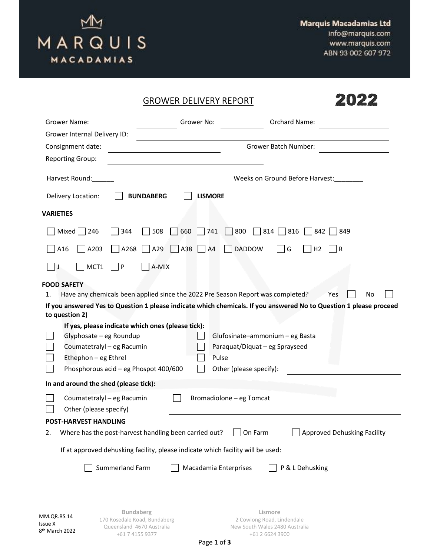

2022

## GROWER DELIVERY REPORT

| <b>Grower Name:</b>                   |                                                                                 | Grower No:            |                                                                   | Orchard Name:                                                                                                      |    |
|---------------------------------------|---------------------------------------------------------------------------------|-----------------------|-------------------------------------------------------------------|--------------------------------------------------------------------------------------------------------------------|----|
| Grower Internal Delivery ID:          |                                                                                 |                       |                                                                   |                                                                                                                    |    |
| Consignment date:                     |                                                                                 |                       |                                                                   | <b>Grower Batch Number:</b>                                                                                        |    |
| <b>Reporting Group:</b>               |                                                                                 |                       |                                                                   |                                                                                                                    |    |
| Harvest Round:                        |                                                                                 |                       |                                                                   | Weeks on Ground Before Harvest:                                                                                    |    |
| Delivery Location:                    | <b>BUNDABERG</b>                                                                | <b>LISMORE</b>        |                                                                   |                                                                                                                    |    |
| <b>VARIETIES</b>                      |                                                                                 |                       |                                                                   |                                                                                                                    |    |
| <b>Mixed</b><br>246                   | 344<br>508                                                                      | 660<br>741            | 800<br>814                                                        | 816<br>849<br>842                                                                                                  |    |
| A16<br>A203                           | A29<br>A268                                                                     | A38<br>A4             | <b>DADDOW</b>                                                     | G<br>H <sub>2</sub><br>$\mathsf{R}$                                                                                |    |
| MCT1                                  | ${\sf P}$<br>A-MIX                                                              |                       |                                                                   |                                                                                                                    |    |
| <b>FOOD SAFETY</b>                    |                                                                                 |                       |                                                                   |                                                                                                                    |    |
| 1.                                    | Have any chemicals been applied since the 2022 Pre Season Report was completed? |                       |                                                                   | Yes                                                                                                                | No |
|                                       |                                                                                 |                       |                                                                   | If you answered Yes to Question 1 please indicate which chemicals. If you answered No to Question 1 please proceed |    |
| to question 2)                        |                                                                                 |                       |                                                                   |                                                                                                                    |    |
|                                       | If yes, please indicate which ones (please tick):                               |                       |                                                                   |                                                                                                                    |    |
| Glyphosate - eg Roundup               | Coumatetralyl - eg Racumin                                                      |                       | Glufosinate-ammonium - eg Basta<br>Paraquat/Diquat - eg Sprayseed |                                                                                                                    |    |
| Ethephon - eg Ethrel                  |                                                                                 | Pulse                 |                                                                   |                                                                                                                    |    |
|                                       | Phosphorous acid - eg Phospot 400/600                                           |                       | Other (please specify):                                           |                                                                                                                    |    |
| In and around the shed (please tick): |                                                                                 |                       |                                                                   |                                                                                                                    |    |
|                                       |                                                                                 |                       |                                                                   |                                                                                                                    |    |
|                                       | Coumatetralyl - eg Racumin                                                      |                       | Bromadiolone - eg Tomcat                                          |                                                                                                                    |    |
| Other (please specify)                |                                                                                 |                       |                                                                   |                                                                                                                    |    |
| <b>POST-HARVEST HANDLING</b><br>2.    | Where has the post-harvest handling been carried out?                           |                       | On Farm                                                           | Approved Dehusking Facility                                                                                        |    |
|                                       |                                                                                 |                       |                                                                   |                                                                                                                    |    |
|                                       | If at approved dehusking facility, please indicate which facility will be used: |                       |                                                                   |                                                                                                                    |    |
|                                       | Summerland Farm                                                                 | Macadamia Enterprises |                                                                   | P & L Dehusking                                                                                                    |    |
|                                       |                                                                                 |                       |                                                                   |                                                                                                                    |    |
|                                       | <b>Bundaberg</b>                                                                |                       | Lismore                                                           |                                                                                                                    |    |
| MM.QR.RS.14<br><b>Issue X</b>         | 170 Rosedale Road, Bundaberg<br>Queensland 4670 Australia                       |                       | 2 Cowlong Road, Lindendale<br>New South Wales 2480 Australia      |                                                                                                                    |    |

+61 2 6624 3900

+61 7 4155 9377

8 th March 2022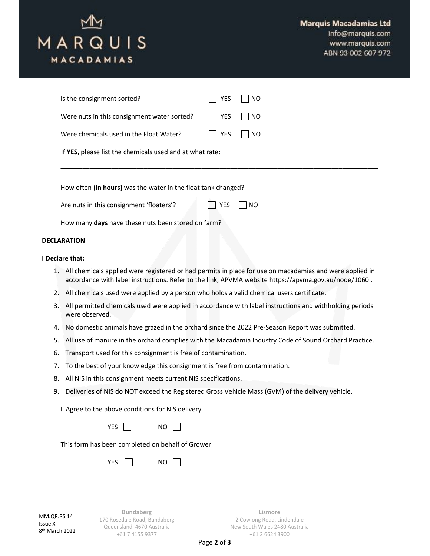

info@marquis.com www.marquis.com ABN 93 002 607 972

| Is the consignment sorted?                                    |  | YES        | NO.       |  |  |
|---------------------------------------------------------------|--|------------|-----------|--|--|
| Were nuts in this consignment water sorted?                   |  | <b>YES</b> | <b>NO</b> |  |  |
| Were chemicals used in the Float Water?                       |  | YES        | <b>NO</b> |  |  |
| If YES, please list the chemicals used and at what rate:      |  |            |           |  |  |
|                                                               |  |            |           |  |  |
| How often (in hours) was the water in the float tank changed? |  |            |           |  |  |
| Are nuts in this consignment 'floaters'?                      |  | YES        | <b>NO</b> |  |  |
| How many days have these nuts been stored on farm?            |  |            |           |  |  |
| <b>DECLARATION</b>                                            |  |            |           |  |  |

## I Declare that:

- 1. All chemicals applied were registered or had permits in place for use on macadamias and were applied in accordance with label instructions. Refer to the link, APVMA website https://apvma.gov.au/node/1060 .
- 2. All chemicals used were applied by a person who holds a valid chemical users certificate.
- 3. All permitted chemicals used were applied in accordance with label instructions and withholding periods were observed.
- 4. No domestic animals have grazed in the orchard since the 2022 Pre-Season Report was submitted.
- 5. All use of manure in the orchard complies with the Macadamia Industry Code of Sound Orchard Practice.
- 6. Transport used for this consignment is free of contamination.
- 7. To the best of your knowledge this consignment is free from contamination.
- 8. All NIS in this consignment meets current NIS specifications.
- 9. Deliveries of NIS do NOT exceed the Registered Gross Vehicle Mass (GVM) of the delivery vehicle.

I Agree to the above conditions for NIS delivery.

|  | C.<br>Νſ<br>. . |
|--|-----------------|
|--|-----------------|

This form has been completed on behalf of Grower

| ∽<br>c<br>N١<br>)<br>$\sim$<br>۰. |  |
|-----------------------------------|--|
|-----------------------------------|--|

MM OR RS 14 Issue X 8 th March 2022

Bundaberg 170 Rosedale Road, Bundaberg Queensland 4670 Australia +61 7 4155 9377

Lismore 2 Cowlong Road, Lindendale New South Wales 2480 Australia +61 2 6624 3900

Page 2 of 3